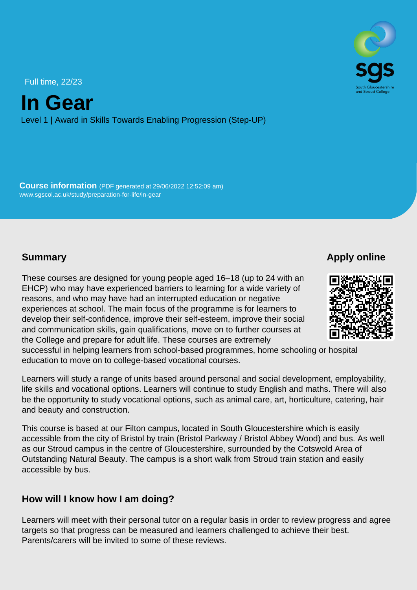Full time, 22/23

In Gear

Level 1 | Award in Skills Towards Enabling Progression (Step-UP)

Course information (PDF generated at 29/06/2022 12:52:09 am) [www.sgscol.ac.uk/study/preparation-for-life/in-gear](https://www.sgscol.ac.uk/study/preparation-for-life/in-gear)

#### **Summary**

Apply online

These courses are designed for young people aged 16–18 (up to 24 with an EHCP) who may have experienced barriers to learning for a wide variety of reasons, and who may have had an interrupted education or negative experiences at school. The main focus of the programme is for learners to develop their self-confidence, improve their self-esteem, improve their social and communication skills, gain qualifications, move on to further courses at the College and prepare for adult life. These courses are extremely successful in helping learners from school-based programmes, home schooling or hospital education to move on to college-based vocational courses.

Learners will study a range of units based around personal and social development, employability, life skills and vocational options. Learners will continue to study English and maths. There will also be the opportunity to study vocational options, such as animal care, art, horticulture, catering, hair and beauty and construction.

This course is based at our Filton campus, located in South Gloucestershire which is easily accessible from the city of Bristol by train (Bristol Parkway / Bristol Abbey Wood) and bus. As well as our Stroud campus in the centre of Gloucestershire, surrounded by the Cotswold Area of Outstanding Natural Beauty. The campus is a short walk from Stroud train station and easily accessible by bus.

#### How will I know how I am doing?

Learners will meet with their personal tutor on a regular basis in order to review progress and agree targets so that progress can be measured and learners challenged to achieve their best. Parents/carers will be invited to some of these reviews.